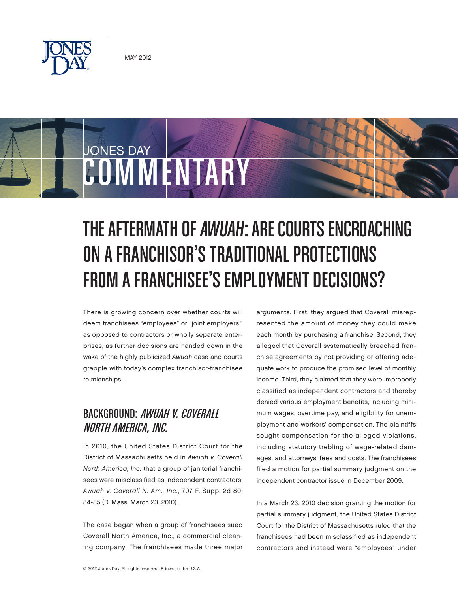

JONES DAY

# THE AFTERMATH OF AWUAH: ARE COURTS ENCROACHING ON A FRANCHISOR'S TRADITIONAL PROTECTIONS FROM A FRANCHISEE'S EMPLOYMENT DECISIONS?

There is growing concern over whether courts will deem franchisees "employees" or "joint employers," as opposed to contractors or wholly separate enterprises, as further decisions are handed down in the wake of the highly publicized Awuah case and courts grapple with today's complex franchisor-franchisee relationships.

COMMENTARY

# BACKGROUND: AWUAH V. COVERALL NORTH AMERICA, INC.

In 2010, the United States District Court for the District of Massachusetts held in Awuah v. Coverall North America, Inc. that a group of janitorial franchisees were misclassified as independent contractors. Awuah v. Coverall N. Am., Inc., 707 F. Supp. 2d 80, 84-85 (D. Mass. March 23, 2010).

The case began when a group of franchisees sued Coverall North America, Inc., a commercial cleaning company. The franchisees made three major arguments. First, they argued that Coverall misrepresented the amount of money they could make each month by purchasing a franchise. Second, they alleged that Coverall systematically breached franchise agreements by not providing or offering adequate work to produce the promised level of monthly income. Third, they claimed that they were improperly classified as independent contractors and thereby denied various employment benefits, including minimum wages, overtime pay, and eligibility for unemployment and workers' compensation. The plaintiffs sought compensation for the alleged violations, including statutory trebling of wage-related damages, and attorneys' fees and costs. The franchisees filed a motion for partial summary judgment on the independent contractor issue in December 2009.

In a March 23, 2010 decision granting the motion for partial summary judgment, the United States District Court for the District of Massachusetts ruled that the franchisees had been misclassified as independent contractors and instead were "employees" under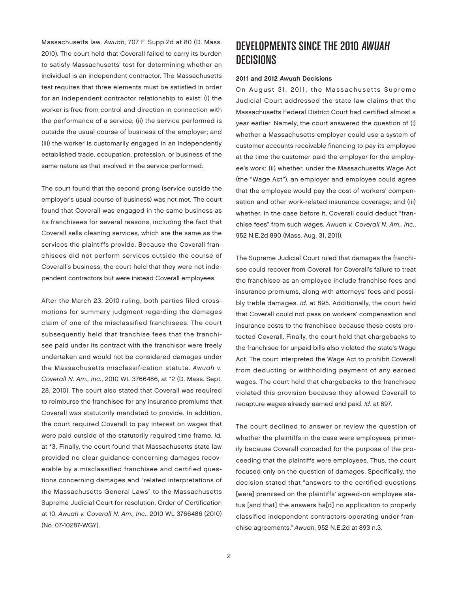Massachusetts law. Awuah, 707 F. Supp.2d at 80 (D. Mass. 2010). The court held that Coverall failed to carry its burden to satisfy Massachusetts' test for determining whether an individual is an independent contractor. The Massachusetts test requires that three elements must be satisfied in order for an independent contractor relationship to exist: (i) the worker is free from control and direction in connection with the performance of a service; (ii) the service performed is outside the usual course of business of the employer; and (iii) the worker is customarily engaged in an independently established trade, occupation, profession, or business of the same nature as that involved in the service performed.

The court found that the second prong (service outside the employer's usual course of business) was not met. The court found that Coverall was engaged in the same business as its franchisees for several reasons, including the fact that Coverall sells cleaning services, which are the same as the services the plaintiffs provide. Because the Coverall franchisees did not perform services outside the course of Coverall's business, the court held that they were not independent contractors but were instead Coverall employees.

After the March 23, 2010 ruling, both parties filed crossmotions for summary judgment regarding the damages claim of one of the misclassified franchisees. The court subsequently held that franchise fees that the franchisee paid under its contract with the franchisor were freely undertaken and would not be considered damages under the Massachusetts misclassification statute. Awuah v. Coverall N. Am., Inc., 2010 WL 3766486, at \*2 (D. Mass. Sept. 28, 2010). The court also stated that Coverall was required to reimburse the franchisee for any insurance premiums that Coverall was statutorily mandated to provide. In addition, the court required Coverall to pay interest on wages that were paid outside of the statutorily required time frame. Id. at \*3. Finally, the court found that Massachusetts state law provided no clear guidance concerning damages recoverable by a misclassified franchisee and certified questions concerning damages and "related interpretations of the Massachusetts General Laws" to the Massachusetts Supreme Judicial Court for resolution. Order of Certification at 10, Awuah v. Coverall N. Am., Inc., 2010 WL 3766486 (2010) (No. 07-10287-WGY).

# DEVELOPMENTS SINCE THE 2010 AWUAH **DECISIONS**

#### 2011 and 2012 Awuah Decisions

On August 31, 2011, the Massachusetts Supreme Judicial Court addressed the state law claims that the Massachusetts Federal District Court had certified almost a year earlier. Namely, the court answered the question of (i) whether a Massachusetts employer could use a system of customer accounts receivable financing to pay its employee at the time the customer paid the employer for the employee's work; (ii) whether, under the Massachusetts Wage Act (the "Wage Act"), an employer and employee could agree that the employee would pay the cost of workers' compensation and other work-related insurance coverage; and (iii) whether, in the case before it, Coverall could deduct "franchise fees" from such wages. Awuah v. Coverall N. Am., Inc., 952 N.E.2d 890 (Mass. Aug. 31, 2011).

The Supreme Judicial Court ruled that damages the franchisee could recover from Coverall for Coverall's failure to treat the franchisee as an employee include franchise fees and insurance premiums, along with attorneys' fees and possibly treble damages. Id. at 895. Additionally, the court held that Coverall could not pass on workers' compensation and insurance costs to the franchisee because these costs protected Coverall. Finally, the court held that chargebacks to the franchisee for unpaid bills also violated the state's Wage Act. The court interpreted the Wage Act to prohibit Coverall from deducting or withholding payment of any earned wages. The court held that chargebacks to the franchisee violated this provision because they allowed Coverall to recapture wages already earned and paid. Id. at 897.

The court declined to answer or review the question of whether the plaintiffs in the case were employees, primarily because Coverall conceded for the purpose of the proceeding that the plaintiffs were employees. Thus, the court focused only on the question of damages. Specifically, the decision stated that "answers to the certified questions [were] premised on the plaintiffs' agreed-on employee status [and that] the answers ha[d] no application to properly classified independent contractors operating under franchise agreements." Awuah, 952 N.E.2d at 893 n.3.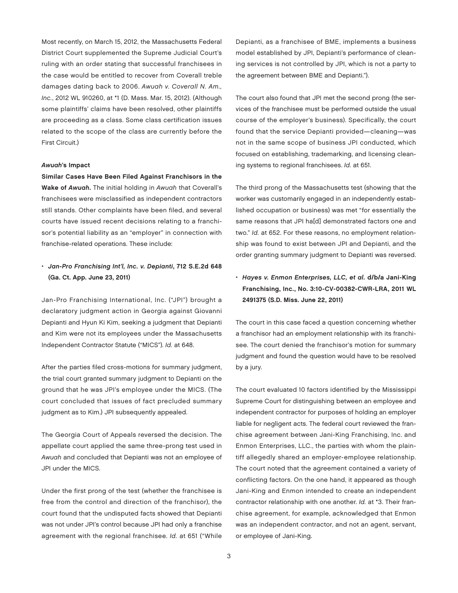Most recently, on March 15, 2012, the Massachusetts Federal District Court supplemented the Supreme Judicial Court's ruling with an order stating that successful franchisees in the case would be entitled to recover from Coverall treble damages dating back to 2006. Awuah v. Coverall N. Am., Inc., 2012 WL 910260, at \*1 (D. Mass. Mar. 15, 2012). (Although some plaintiffs' claims have been resolved, other plaintiffs are proceeding as a class. Some class certification issues related to the scope of the class are currently before the First Circuit.)

#### Awuah's Impact

Similar Cases Have Been Filed Against Franchisors in the Wake of Awuah. The initial holding in Awuah that Coverall's franchisees were misclassified as independent contractors still stands. Other complaints have been filed, and several courts have issued recent decisions relating to a franchisor's potential liability as an "employer" in connection with franchise-related operations. These include:

## • Jan-Pro Franchising Int'l, Inc. v. Depianti, 712 S.E.2d 648 (Ga. Ct. App. June 23, 2011)

Jan-Pro Franchising International, Inc. ("JPI") brought a declaratory judgment action in Georgia against Giovanni Depianti and Hyun Ki Kim, seeking a judgment that Depianti and Kim were not its employees under the Massachusetts Independent Contractor Statute ("MICS"). Id. at 648.

After the parties filed cross-motions for summary judgment, the trial court granted summary judgment to Depianti on the ground that he was JPI's employee under the MICS. (The court concluded that issues of fact precluded summary judgment as to Kim.) JPI subsequently appealed.

The Georgia Court of Appeals reversed the decision. The appellate court applied the same three-prong test used in Awuah and concluded that Depianti was not an employee of JPI under the MICS.

Under the first prong of the test (whether the franchisee is free from the control and direction of the franchisor), the court found that the undisputed facts showed that Depianti was not under JPI's control because JPI had only a franchise agreement with the regional franchisee. Id. at 651 ("While

Depianti, as a franchisee of BME, implements a business model established by JPI, Depianti's performance of cleaning services is not controlled by JPI, which is not a party to the agreement between BME and Depianti.").

The court also found that JPI met the second prong (the services of the franchisee must be performed outside the usual course of the employer's business). Specifically, the court found that the service Depianti provided—cleaning—was not in the same scope of business JPI conducted, which focused on establishing, trademarking, and licensing cleaning systems to regional franchisees. Id. at 651.

The third prong of the Massachusetts test (showing that the worker was customarily engaged in an independently established occupation or business) was met "for essentially the same reasons that JPI ha[d] demonstrated factors one and two." Id. at 652. For these reasons, no employment relationship was found to exist between JPI and Depianti, and the order granting summary judgment to Depianti was reversed.

• Hayes v. Enmon Enterprises, LLC, et al. d/b/a Jani-King Franchising, Inc., No. 3:10-CV-00382-CWR-LRA, 2011 WL 2491375 (S.D. Miss. June 22, 2011)

The court in this case faced a question concerning whether a franchisor had an employment relationship with its franchisee. The court denied the franchisor's motion for summary judgment and found the question would have to be resolved by a jury.

The court evaluated 10 factors identified by the Mississippi Supreme Court for distinguishing between an employee and independent contractor for purposes of holding an employer liable for negligent acts. The federal court reviewed the franchise agreement between Jani-King Franchising, Inc. and Enmon Enterprises, LLC., the parties with whom the plaintiff allegedly shared an employer-employee relationship. The court noted that the agreement contained a variety of conflicting factors. On the one hand, it appeared as though Jani-King and Enmon intended to create an independent contractor relationship with one another. Id. at \*3. Their franchise agreement, for example, acknowledged that Enmon was an independent contractor, and not an agent, servant, or employee of Jani-King.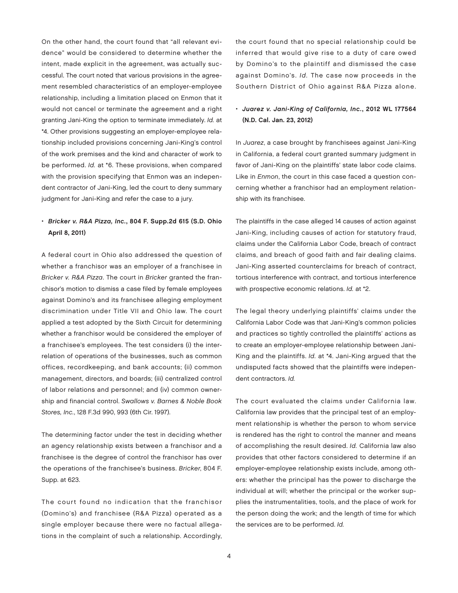On the other hand, the court found that "all relevant evidence" would be considered to determine whether the intent, made explicit in the agreement, was actually successful. The court noted that various provisions in the agreement resembled characteristics of an employer-employee relationship, including a limitation placed on Enmon that it would not cancel or terminate the agreement and a right granting Jani-King the option to terminate immediately. Id. at \*4. Other provisions suggesting an employer-employee relationship included provisions concerning Jani-King's control of the work premises and the kind and character of work to be performed. Id. at \*6. These provisions, when compared with the provision specifying that Enmon was an independent contractor of Jani-King, led the court to deny summary judgment for Jani-King and refer the case to a jury.

## • Bricker v. R&A Pizza, Inc., 804 F. Supp.2d 615 (S.D. Ohio April 8, 2011)

A federal court in Ohio also addressed the question of whether a franchisor was an employer of a franchisee in Bricker v. R&A Pizza. The court in Bricker granted the franchisor's motion to dismiss a case filed by female employees against Domino's and its franchisee alleging employment discrimination under Title VII and Ohio law. The court applied a test adopted by the Sixth Circuit for determining whether a franchisor would be considered the employer of a franchisee's employees. The test considers (i) the interrelation of operations of the businesses, such as common offices, recordkeeping, and bank accounts; (ii) common management, directors, and boards; (iii) centralized control of labor relations and personnel; and (iv) common ownership and financial control. Swallows v. Barnes & Noble Book Stores, Inc., 128 F.3d 990, 993 (6th Cir. 1997).

The determining factor under the test in deciding whether an agency relationship exists between a franchisor and a franchisee is the degree of control the franchisor has over the operations of the franchisee's business. Bricker, 804 F. Supp. at 623.

The court found no indication that the franchisor (Domino's) and franchisee (R&A Pizza) operated as a single employer because there were no factual allegations in the complaint of such a relationship. Accordingly,

the court found that no special relationship could be inferred that would give rise to a duty of care owed by Domino's to the plaintiff and dismissed the case against Domino's. Id. The case now proceeds in the Southern District of Ohio against R&A Pizza alone.

## • Juarez v. Jani-King of California, Inc., 2012 WL 177564 (N.D. Cal. Jan. 23, 2012)

In Juarez, a case brought by franchisees against Jani-King in California, a federal court granted summary judgment in favor of Jani-King on the plaintiffs' state labor code claims. Like in Enmon, the court in this case faced a question concerning whether a franchisor had an employment relationship with its franchisee.

The plaintiffs in the case alleged 14 causes of action against Jani-King, including causes of action for statutory fraud, claims under the California Labor Code, breach of contract claims, and breach of good faith and fair dealing claims. Jani-King asserted counterclaims for breach of contract, tortious interference with contract, and tortious interference with prospective economic relations. Id. at \*2.

The legal theory underlying plaintiffs' claims under the California Labor Code was that Jani-King's common policies and practices so tightly controlled the plaintiffs' actions as to create an employer-employee relationship between Jani-King and the plaintiffs. Id. at \*4. Jani-King argued that the undisputed facts showed that the plaintiffs were independent contractors. Id.

The court evaluated the claims under California law. California law provides that the principal test of an employment relationship is whether the person to whom service is rendered has the right to control the manner and means of accomplishing the result desired. Id. California law also provides that other factors considered to determine if an employer-employee relationship exists include, among others: whether the principal has the power to discharge the individual at will; whether the principal or the worker supplies the instrumentalities, tools, and the place of work for the person doing the work; and the length of time for which the services are to be performed. Id.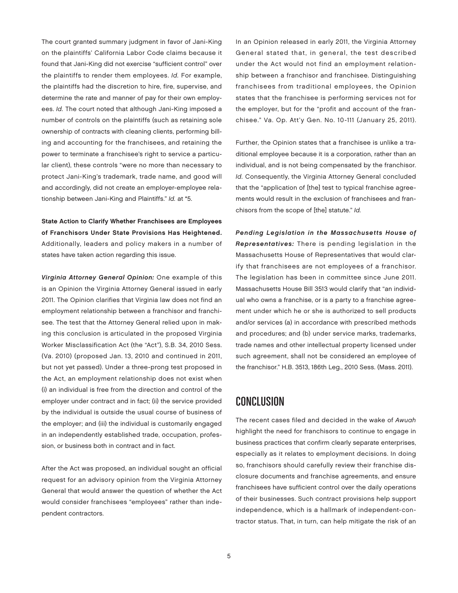The court granted summary judgment in favor of Jani-King on the plaintiffs' California Labor Code claims because it found that Jani-King did not exercise "sufficient control" over the plaintiffs to render them employees. Id. For example, the plaintiffs had the discretion to hire, fire, supervise, and determine the rate and manner of pay for their own employees. Id. The court noted that although Jani-King imposed a number of controls on the plaintiffs (such as retaining sole ownership of contracts with cleaning clients, performing billing and accounting for the franchisees, and retaining the power to terminate a franchisee's right to service a particular client), these controls "were no more than necessary to protect Jani-King's trademark, trade name, and good will and accordingly, did not create an employer-employee relationship between Jani-King and Plaintiffs." Id. at \*5.

State Action to Clarify Whether Franchisees are Employees of Franchisors Under State Provisions Has Heightened. Additionally, leaders and policy makers in a number of states have taken action regarding this issue.

Virginia Attorney General Opinion: One example of this is an Opinion the Virginia Attorney General issued in early 2011. The Opinion clarifies that Virginia law does not find an employment relationship between a franchisor and franchisee. The test that the Attorney General relied upon in making this conclusion is articulated in the proposed Virginia Worker Misclassification Act (the "Act"), S.B. 34, 2010 Sess. (Va. 2010) (proposed Jan. 13, 2010 and continued in 2011, but not yet passed). Under a three-prong test proposed in the Act, an employment relationship does not exist when (i) an individual is free from the direction and control of the employer under contract and in fact; (ii) the service provided by the individual is outside the usual course of business of the employer; and (iii) the individual is customarily engaged in an independently established trade, occupation, profession, or business both in contract and in fact.

After the Act was proposed, an individual sought an official request for an advisory opinion from the Virginia Attorney General that would answer the question of whether the Act would consider franchisees "employees" rather than independent contractors.

In an Opinion released in early 2011, the Virginia Attorney General stated that, in general, the test described under the Act would not find an employment relationship between a franchisor and franchisee. Distinguishing franchisees from traditional employees, the Opinion states that the franchisee is performing services not for the employer, but for the "profit and account of the franchisee." Va. Op. Att'y Gen. No. 10-111 (January 25, 2011).

Further, the Opinion states that a franchisee is unlike a traditional employee because it is a corporation, rather than an individual, and is not being compensated by the franchisor. Id. Consequently, the Virginia Attorney General concluded that the "application of [the] test to typical franchise agreements would result in the exclusion of franchisees and franchisors from the scope of [the] statute." Id.

Pending Legislation in the Massachusetts House of Representatives: There is pending legislation in the Massachusetts House of Representatives that would clarify that franchisees are not employees of a franchisor. The legislation has been in committee since June 2011. Massachusetts House Bill 3513 would clarify that "an individual who owns a franchise, or is a party to a franchise agreement under which he or she is authorized to sell products and/or services (a) in accordance with prescribed methods and procedures; and (b) under service marks, trademarks, trade names and other intellectual property licensed under such agreement, shall not be considered an employee of the franchisor." H.B. 3513, 186th Leg., 2010 Sess. (Mass. 2011).

# CONCLUSION

The recent cases filed and decided in the wake of Awuah highlight the need for franchisors to continue to engage in business practices that confirm clearly separate enterprises, especially as it relates to employment decisions. In doing so, franchisors should carefully review their franchise disclosure documents and franchise agreements, and ensure franchisees have sufficient control over the daily operations of their businesses. Such contract provisions help support independence, which is a hallmark of independent-contractor status. That, in turn, can help mitigate the risk of an